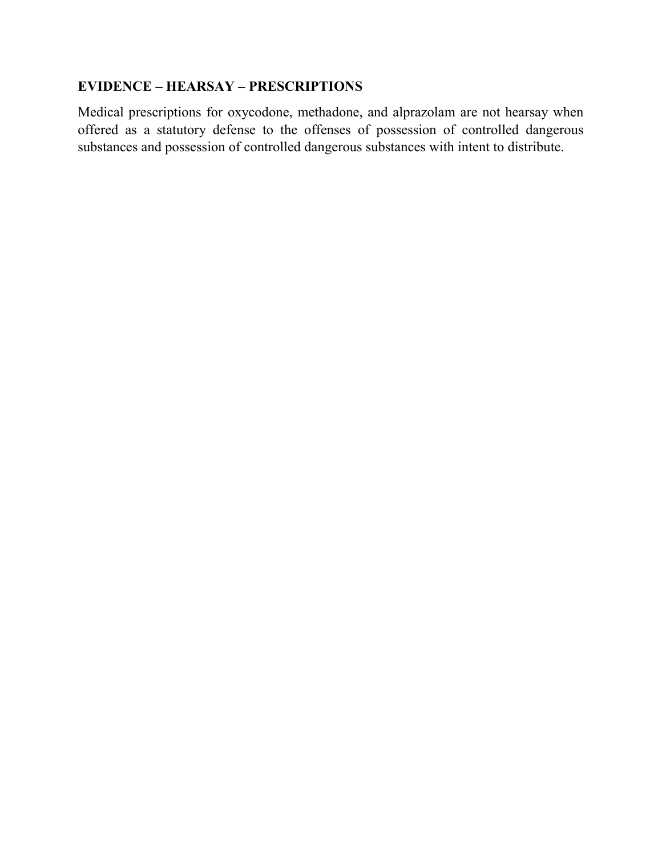# **EVIDENCE – HEARSAY – PRESCRIPTIONS**

Medical prescriptions for oxycodone, methadone, and alprazolam are not hearsay when offered as a statutory defense to the offenses of possession of controlled dangerous substances and possession of controlled dangerous substances with intent to distribute.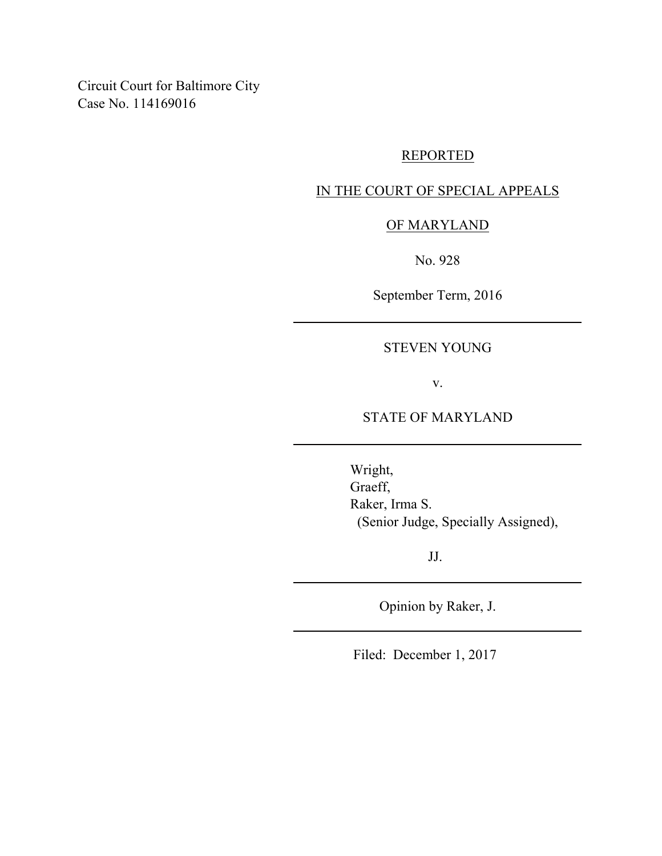Circuit Court for Baltimore City Case No. 114169016

# REPORTED

# IN THE COURT OF SPECIAL APPEALS

## OF MARYLAND

No. 928

September Term, 2016

## STEVEN YOUNG

v.

## STATE OF MARYLAND

Wright, Graeff, Raker, Irma S. (Senior Judge, Specially Assigned),

JJ.

Opinion by Raker, J.

Filed: December 1, 2017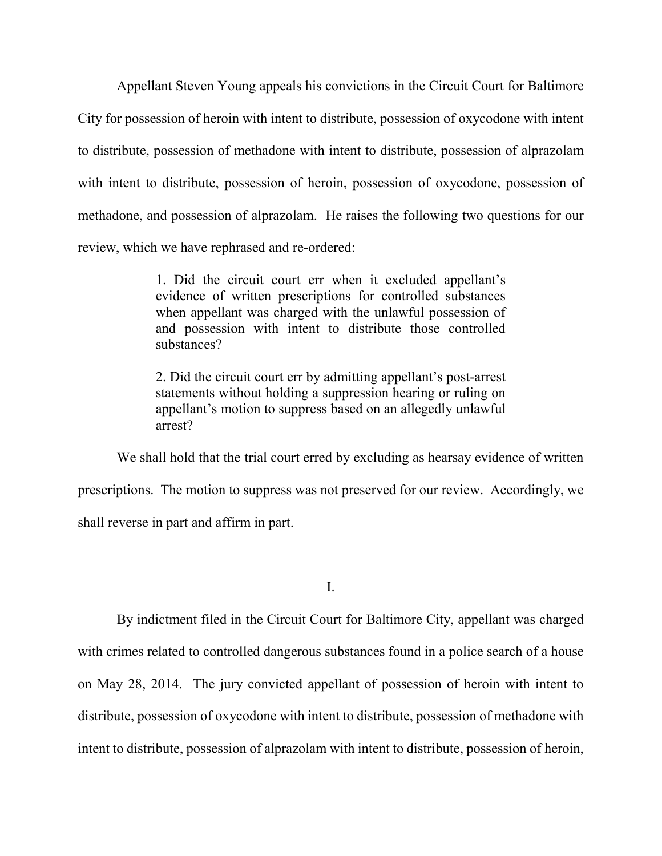Appellant Steven Young appeals his convictions in the Circuit Court for Baltimore City for possession of heroin with intent to distribute, possession of oxycodone with intent to distribute, possession of methadone with intent to distribute, possession of alprazolam with intent to distribute, possession of heroin, possession of oxycodone, possession of methadone, and possession of alprazolam. He raises the following two questions for our review, which we have rephrased and re-ordered:

> 1. Did the circuit court err when it excluded appellant's evidence of written prescriptions for controlled substances when appellant was charged with the unlawful possession of and possession with intent to distribute those controlled substances?

> 2. Did the circuit court err by admitting appellant's post-arrest statements without holding a suppression hearing or ruling on appellant's motion to suppress based on an allegedly unlawful arrest?

We shall hold that the trial court erred by excluding as hearsay evidence of written prescriptions. The motion to suppress was not preserved for our review. Accordingly, we shall reverse in part and affirm in part.

I.

By indictment filed in the Circuit Court for Baltimore City, appellant was charged with crimes related to controlled dangerous substances found in a police search of a house on May 28, 2014. The jury convicted appellant of possession of heroin with intent to distribute, possession of oxycodone with intent to distribute, possession of methadone with intent to distribute, possession of alprazolam with intent to distribute, possession of heroin,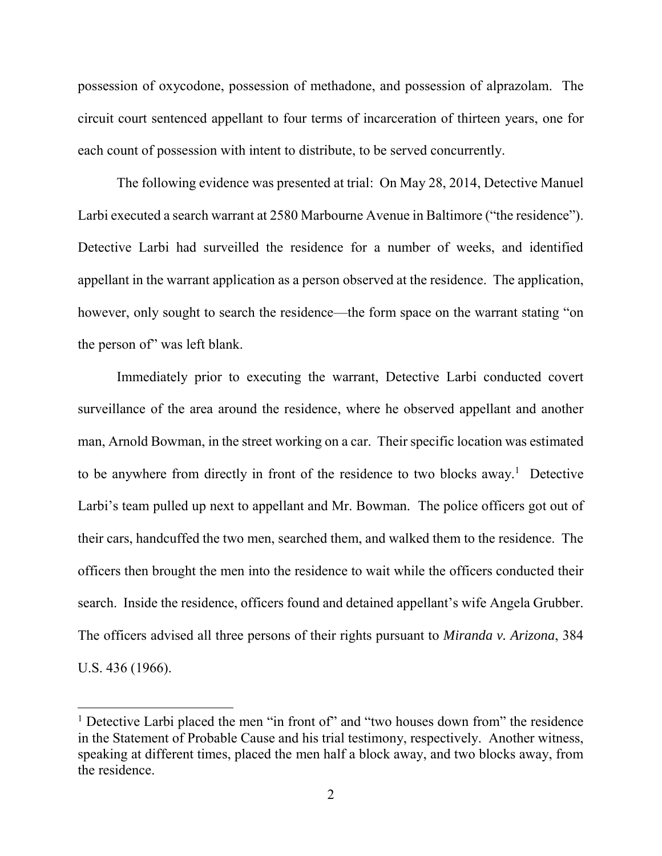possession of oxycodone, possession of methadone, and possession of alprazolam. The circuit court sentenced appellant to four terms of incarceration of thirteen years, one for each count of possession with intent to distribute, to be served concurrently.

The following evidence was presented at trial: On May 28, 2014, Detective Manuel Larbi executed a search warrant at 2580 Marbourne Avenue in Baltimore ("the residence"). Detective Larbi had surveilled the residence for a number of weeks, and identified appellant in the warrant application as a person observed at the residence. The application, however, only sought to search the residence—the form space on the warrant stating "on the person of" was left blank.

Immediately prior to executing the warrant, Detective Larbi conducted covert surveillance of the area around the residence, where he observed appellant and another man, Arnold Bowman, in the street working on a car. Their specific location was estimated to be anywhere from directly in front of the residence to two blocks away.<sup>1</sup> Detective Larbi's team pulled up next to appellant and Mr. Bowman. The police officers got out of their cars, handcuffed the two men, searched them, and walked them to the residence. The officers then brought the men into the residence to wait while the officers conducted their search. Inside the residence, officers found and detained appellant's wife Angela Grubber. The officers advised all three persons of their rights pursuant to *Miranda v. Arizona*, 384 U.S. 436 (1966).

 $\overline{\phantom{a}}$ 

<sup>&</sup>lt;sup>1</sup> Detective Larbi placed the men "in front of" and "two houses down from" the residence in the Statement of Probable Cause and his trial testimony, respectively. Another witness, speaking at different times, placed the men half a block away, and two blocks away, from the residence.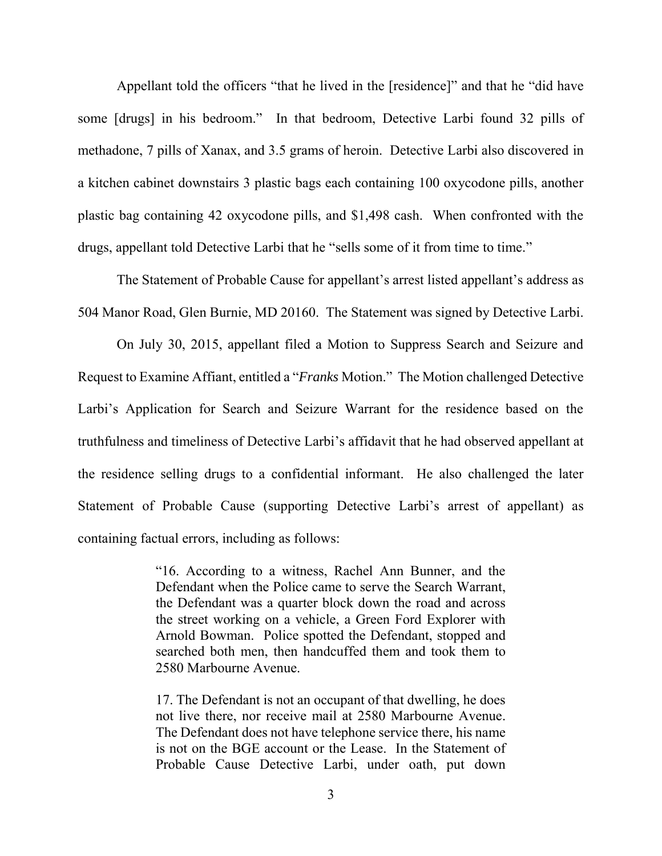Appellant told the officers "that he lived in the [residence]" and that he "did have some [drugs] in his bedroom." In that bedroom, Detective Larbi found 32 pills of methadone, 7 pills of Xanax, and 3.5 grams of heroin. Detective Larbi also discovered in a kitchen cabinet downstairs 3 plastic bags each containing 100 oxycodone pills, another plastic bag containing 42 oxycodone pills, and \$1,498 cash. When confronted with the drugs, appellant told Detective Larbi that he "sells some of it from time to time."

The Statement of Probable Cause for appellant's arrest listed appellant's address as 504 Manor Road, Glen Burnie, MD 20160. The Statement was signed by Detective Larbi.

On July 30, 2015, appellant filed a Motion to Suppress Search and Seizure and Request to Examine Affiant, entitled a "*Franks* Motion." The Motion challenged Detective Larbi's Application for Search and Seizure Warrant for the residence based on the truthfulness and timeliness of Detective Larbi's affidavit that he had observed appellant at the residence selling drugs to a confidential informant. He also challenged the later Statement of Probable Cause (supporting Detective Larbi's arrest of appellant) as containing factual errors, including as follows:

> "16. According to a witness, Rachel Ann Bunner, and the Defendant when the Police came to serve the Search Warrant, the Defendant was a quarter block down the road and across the street working on a vehicle, a Green Ford Explorer with Arnold Bowman. Police spotted the Defendant, stopped and searched both men, then handcuffed them and took them to 2580 Marbourne Avenue.

> 17. The Defendant is not an occupant of that dwelling, he does not live there, nor receive mail at 2580 Marbourne Avenue. The Defendant does not have telephone service there, his name is not on the BGE account or the Lease. In the Statement of Probable Cause Detective Larbi, under oath, put down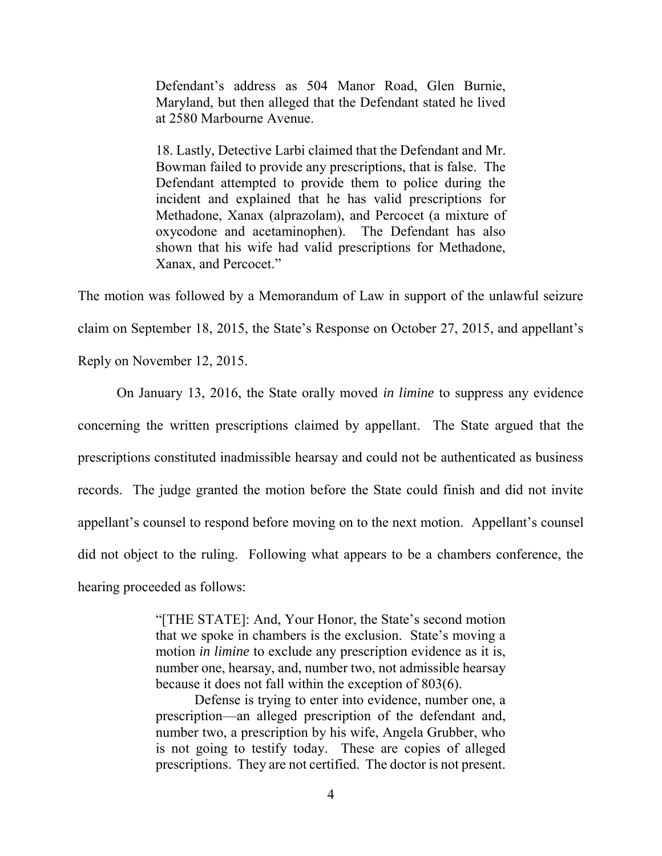Defendant's address as 504 Manor Road, Glen Burnie, Maryland, but then alleged that the Defendant stated he lived at 2580 Marbourne Avenue.

18. Lastly, Detective Larbi claimed that the Defendant and Mr. Bowman failed to provide any prescriptions, that is false. The Defendant attempted to provide them to police during the incident and explained that he has valid prescriptions for Methadone, Xanax (alprazolam), and Percocet (a mixture of oxycodone and acetaminophen). The Defendant has also shown that his wife had valid prescriptions for Methadone, Xanax, and Percocet."

The motion was followed by a Memorandum of Law in support of the unlawful seizure claim on September 18, 2015, the State's Response on October 27, 2015, and appellant's Reply on November 12, 2015.

On January 13, 2016, the State orally moved *in limine* to suppress any evidence concerning the written prescriptions claimed by appellant. The State argued that the prescriptions constituted inadmissible hearsay and could not be authenticated as business records. The judge granted the motion before the State could finish and did not invite appellant's counsel to respond before moving on to the next motion. Appellant's counsel did not object to the ruling. Following what appears to be a chambers conference, the hearing proceeded as follows:

> "[THE STATE]: And, Your Honor, the State's second motion that we spoke in chambers is the exclusion. State's moving a motion *in limine* to exclude any prescription evidence as it is, number one, hearsay, and, number two, not admissible hearsay because it does not fall within the exception of 803(6).

> Defense is trying to enter into evidence, number one, a prescription—an alleged prescription of the defendant and, number two, a prescription by his wife, Angela Grubber, who is not going to testify today. These are copies of alleged prescriptions. They are not certified. The doctor is not present.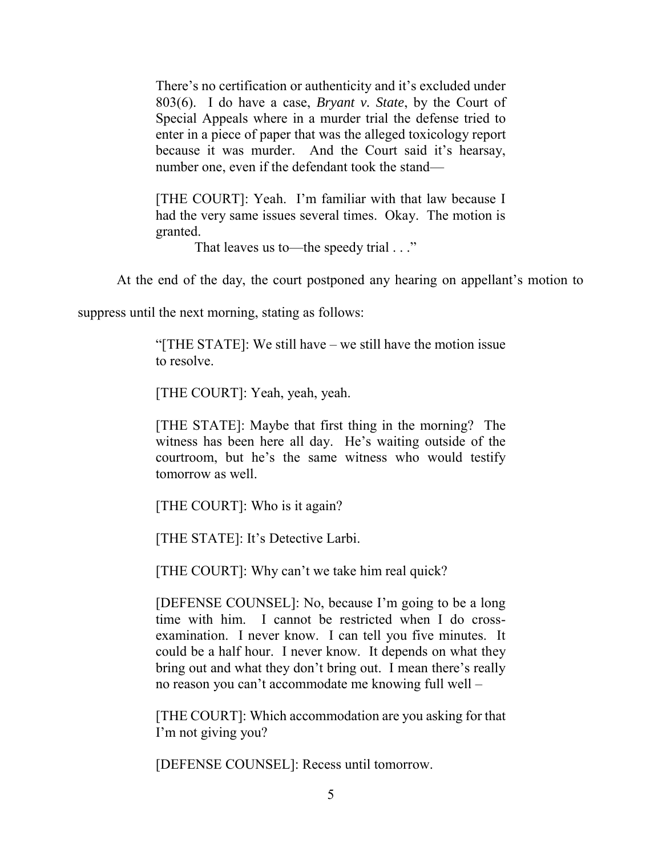There's no certification or authenticity and it's excluded under 803(6). I do have a case, *Bryant v. State*, by the Court of Special Appeals where in a murder trial the defense tried to enter in a piece of paper that was the alleged toxicology report because it was murder. And the Court said it's hearsay, number one, even if the defendant took the stand—

[THE COURT]: Yeah. I'm familiar with that law because I had the very same issues several times. Okay. The motion is granted.

That leaves us to—the speedy trial . . ."

At the end of the day, the court postponed any hearing on appellant's motion to

suppress until the next morning, stating as follows:

"[THE STATE]: We still have – we still have the motion issue to resolve.

[THE COURT]: Yeah, yeah, yeah.

[THE STATE]: Maybe that first thing in the morning? The witness has been here all day. He's waiting outside of the courtroom, but he's the same witness who would testify tomorrow as well.

[THE COURT]: Who is it again?

[THE STATE]: It's Detective Larbi.

[THE COURT]: Why can't we take him real quick?

[DEFENSE COUNSEL]: No, because I'm going to be a long time with him. I cannot be restricted when I do crossexamination. I never know. I can tell you five minutes. It could be a half hour. I never know. It depends on what they bring out and what they don't bring out. I mean there's really no reason you can't accommodate me knowing full well –

[THE COURT]: Which accommodation are you asking for that I'm not giving you?

[DEFENSE COUNSEL]: Recess until tomorrow.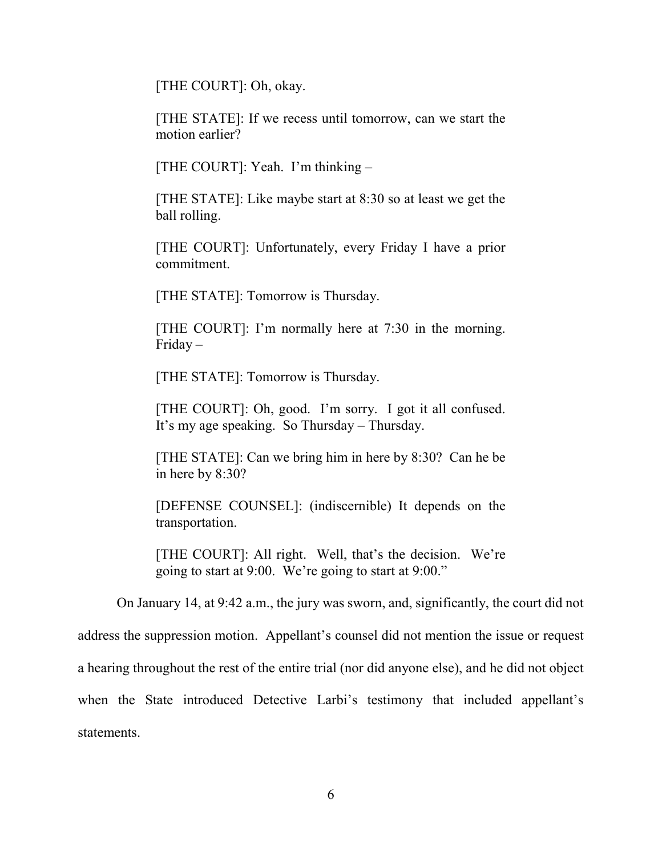[THE COURT]: Oh, okay.

[THE STATE]: If we recess until tomorrow, can we start the motion earlier?

[THE COURT]: Yeah. I'm thinking –

[THE STATE]: Like maybe start at 8:30 so at least we get the ball rolling.

[THE COURT]: Unfortunately, every Friday I have a prior commitment.

[THE STATE]: Tomorrow is Thursday.

[THE COURT]: I'm normally here at 7:30 in the morning. Friday –

[THE STATE]: Tomorrow is Thursday.

[THE COURT]: Oh, good. I'm sorry. I got it all confused. It's my age speaking. So Thursday – Thursday.

[THE STATE]: Can we bring him in here by 8:30? Can he be in here by 8:30?

[DEFENSE COUNSEL]: (indiscernible) It depends on the transportation.

[THE COURT]: All right. Well, that's the decision. We're going to start at 9:00. We're going to start at 9:00."

On January 14, at 9:42 a.m., the jury was sworn, and, significantly, the court did not address the suppression motion. Appellant's counsel did not mention the issue or request a hearing throughout the rest of the entire trial (nor did anyone else), and he did not object when the State introduced Detective Larbi's testimony that included appellant's statements.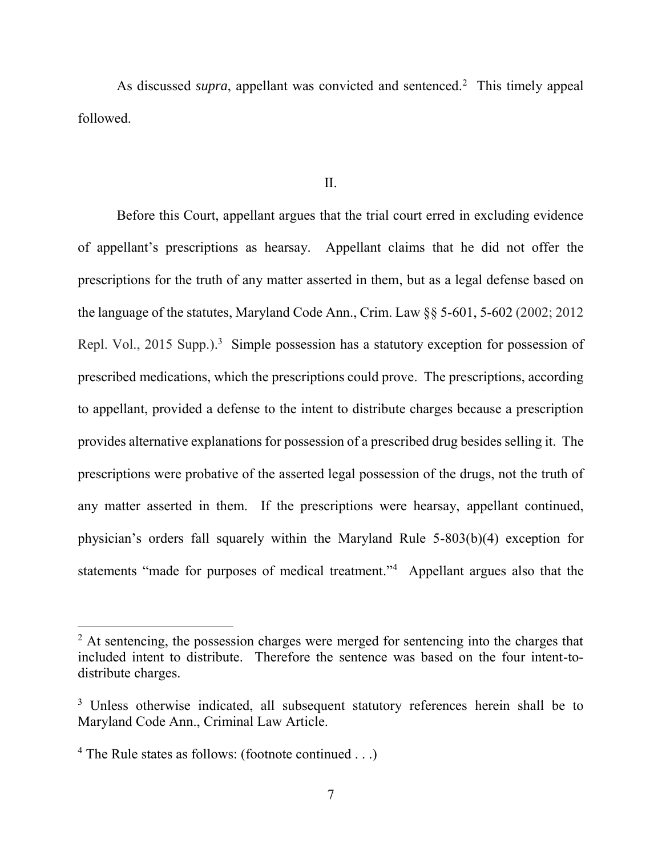As discussed *supra*, appellant was convicted and sentenced.<sup>2</sup> This timely appeal followed.

#### II.

Before this Court, appellant argues that the trial court erred in excluding evidence of appellant's prescriptions as hearsay. Appellant claims that he did not offer the prescriptions for the truth of any matter asserted in them, but as a legal defense based on the language of the statutes, Maryland Code Ann., Crim. Law §§ 5-601, 5-602 (2002; 2012 Repl. Vol., 2015 Supp.).<sup>3</sup> Simple possession has a statutory exception for possession of prescribed medications, which the prescriptions could prove. The prescriptions, according to appellant, provided a defense to the intent to distribute charges because a prescription provides alternative explanations for possession of a prescribed drug besides selling it. The prescriptions were probative of the asserted legal possession of the drugs, not the truth of any matter asserted in them. If the prescriptions were hearsay, appellant continued, physician's orders fall squarely within the Maryland Rule 5-803(b)(4) exception for statements "made for purposes of medical treatment."<sup>4</sup> Appellant argues also that the

 $\overline{\phantom{a}}$ 

 $2$  At sentencing, the possession charges were merged for sentencing into the charges that included intent to distribute. Therefore the sentence was based on the four intent-todistribute charges.

<sup>&</sup>lt;sup>3</sup> Unless otherwise indicated, all subsequent statutory references herein shall be to Maryland Code Ann., Criminal Law Article.

<sup>4</sup> The Rule states as follows: (footnote continued . . .)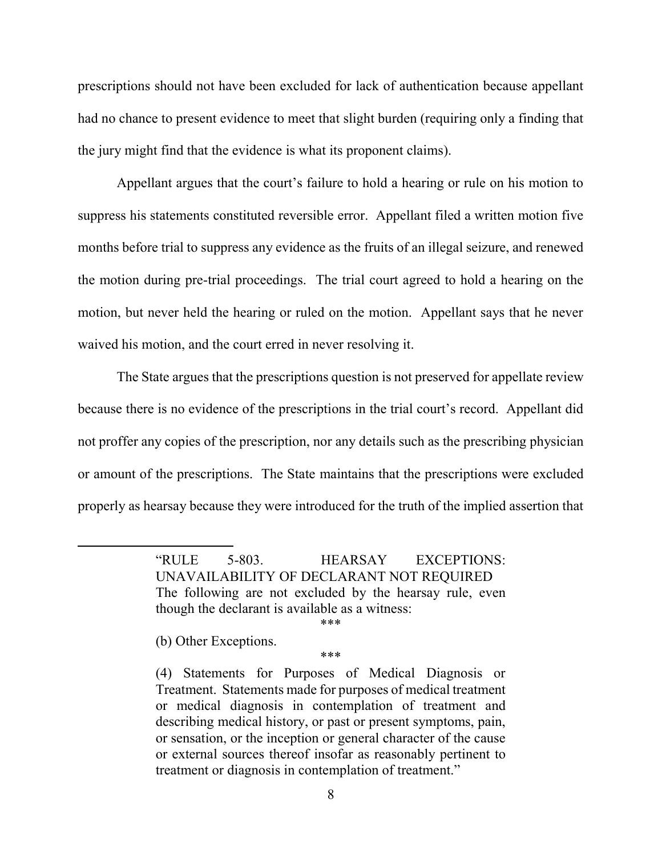prescriptions should not have been excluded for lack of authentication because appellant had no chance to present evidence to meet that slight burden (requiring only a finding that the jury might find that the evidence is what its proponent claims).

Appellant argues that the court's failure to hold a hearing or rule on his motion to suppress his statements constituted reversible error. Appellant filed a written motion five months before trial to suppress any evidence as the fruits of an illegal seizure, and renewed the motion during pre-trial proceedings. The trial court agreed to hold a hearing on the motion, but never held the hearing or ruled on the motion. Appellant says that he never waived his motion, and the court erred in never resolving it.

The State argues that the prescriptions question is not preserved for appellate review because there is no evidence of the prescriptions in the trial court's record. Appellant did not proffer any copies of the prescription, nor any details such as the prescribing physician or amount of the prescriptions. The State maintains that the prescriptions were excluded properly as hearsay because they were introduced for the truth of the implied assertion that

> "RULE 5-803. HEARSAY EXCEPTIONS: UNAVAILABILITY OF DECLARANT NOT REQUIRED The following are not excluded by the hearsay rule, even though the declarant is available as a witness:

> > \*\*\*

\*\*\*

(b) Other Exceptions.

 $\overline{a}$ 

<sup>(4)</sup> Statements for Purposes of Medical Diagnosis or Treatment. Statements made for purposes of medical treatment or medical diagnosis in contemplation of treatment and describing medical history, or past or present symptoms, pain, or sensation, or the inception or general character of the cause or external sources thereof insofar as reasonably pertinent to treatment or diagnosis in contemplation of treatment."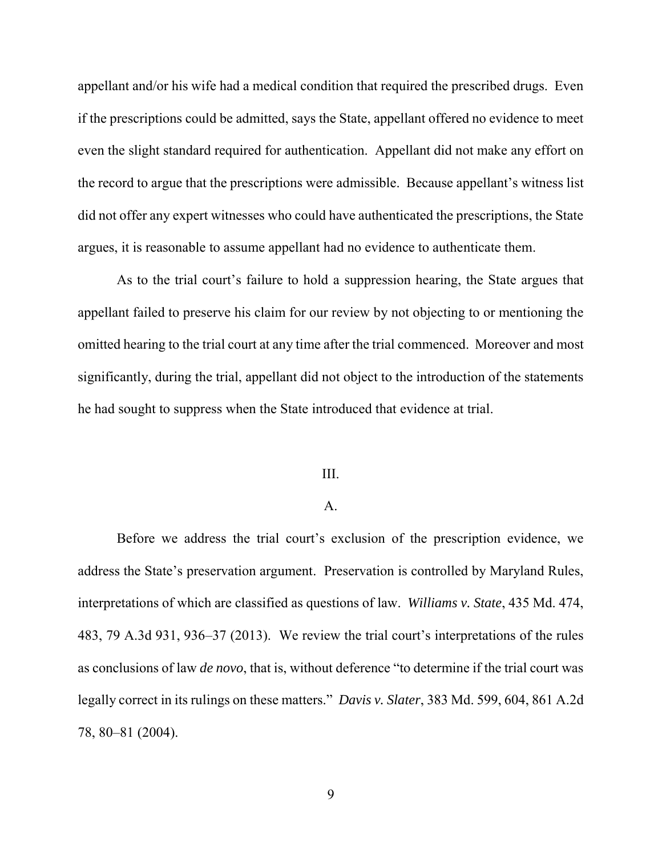appellant and/or his wife had a medical condition that required the prescribed drugs. Even if the prescriptions could be admitted, says the State, appellant offered no evidence to meet even the slight standard required for authentication. Appellant did not make any effort on the record to argue that the prescriptions were admissible. Because appellant's witness list did not offer any expert witnesses who could have authenticated the prescriptions, the State argues, it is reasonable to assume appellant had no evidence to authenticate them.

As to the trial court's failure to hold a suppression hearing, the State argues that appellant failed to preserve his claim for our review by not objecting to or mentioning the omitted hearing to the trial court at any time after the trial commenced. Moreover and most significantly, during the trial, appellant did not object to the introduction of the statements he had sought to suppress when the State introduced that evidence at trial.

#### III.

### A.

 Before we address the trial court's exclusion of the prescription evidence, we address the State's preservation argument. Preservation is controlled by Maryland Rules, interpretations of which are classified as questions of law. *Williams v. State*, 435 Md. 474, 483, 79 A.3d 931, 936–37 (2013). We review the trial court's interpretations of the rules as conclusions of law *de novo*, that is, without deference "to determine if the trial court was legally correct in its rulings on these matters." *Davis v. Slater*, 383 Md. 599, 604, 861 A.2d 78, 80–81 (2004).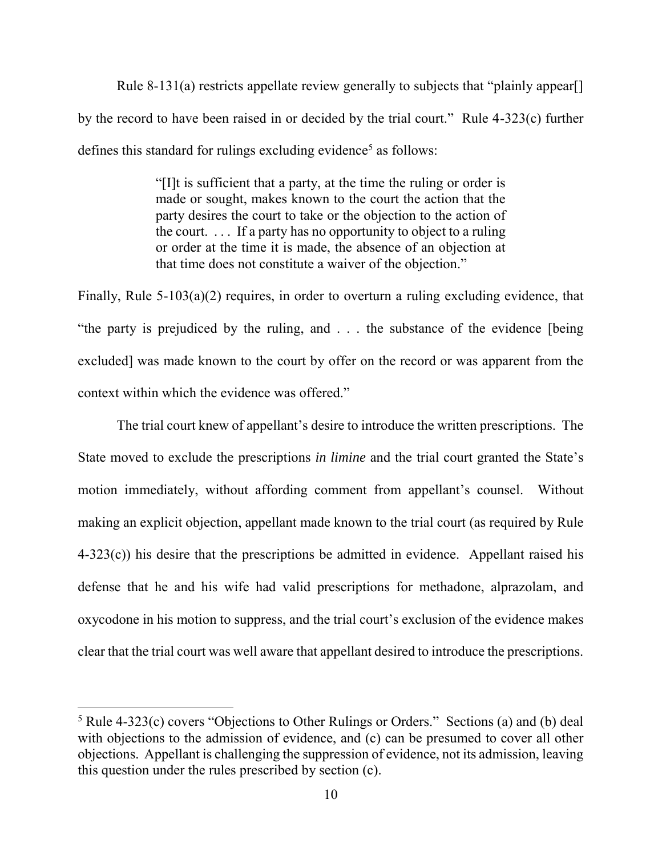Rule 8-131(a) restricts appellate review generally to subjects that "plainly appear. by the record to have been raised in or decided by the trial court." Rule 4-323(c) further defines this standard for rulings excluding evidence<sup>5</sup> as follows:

> "[I]t is sufficient that a party, at the time the ruling or order is made or sought, makes known to the court the action that the party desires the court to take or the objection to the action of the court. . . . If a party has no opportunity to object to a ruling or order at the time it is made, the absence of an objection at that time does not constitute a waiver of the objection."

Finally, Rule 5-103(a)(2) requires, in order to overturn a ruling excluding evidence, that "the party is prejudiced by the ruling, and . . . the substance of the evidence [being excluded] was made known to the court by offer on the record or was apparent from the context within which the evidence was offered."

The trial court knew of appellant's desire to introduce the written prescriptions. The State moved to exclude the prescriptions *in limine* and the trial court granted the State's motion immediately, without affording comment from appellant's counsel. Without making an explicit objection, appellant made known to the trial court (as required by Rule  $4-323(c)$ ) his desire that the prescriptions be admitted in evidence. Appellant raised his defense that he and his wife had valid prescriptions for methadone, alprazolam, and oxycodone in his motion to suppress, and the trial court's exclusion of the evidence makes clear that the trial court was well aware that appellant desired to introduce the prescriptions.

 $\overline{\phantom{a}}$ 

<sup>5</sup> Rule 4-323(c) covers "Objections to Other Rulings or Orders." Sections (a) and (b) deal with objections to the admission of evidence, and (c) can be presumed to cover all other objections. Appellant is challenging the suppression of evidence, not its admission, leaving this question under the rules prescribed by section (c).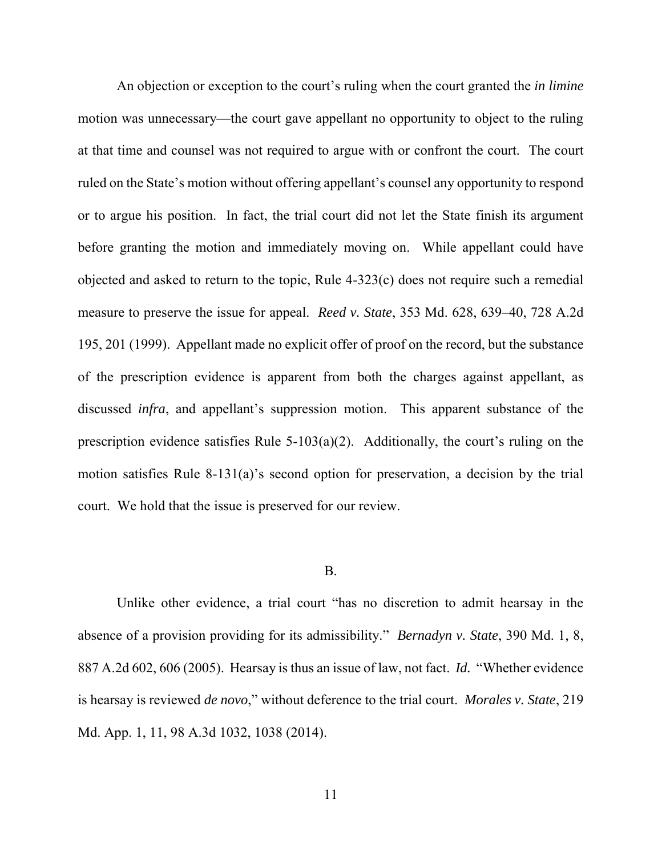An objection or exception to the court's ruling when the court granted the *in limine* motion was unnecessary—the court gave appellant no opportunity to object to the ruling at that time and counsel was not required to argue with or confront the court. The court ruled on the State's motion without offering appellant's counsel any opportunity to respond or to argue his position. In fact, the trial court did not let the State finish its argument before granting the motion and immediately moving on. While appellant could have objected and asked to return to the topic, Rule 4-323(c) does not require such a remedial measure to preserve the issue for appeal. *Reed v. State*, 353 Md. 628, 639–40, 728 A.2d 195, 201 (1999). Appellant made no explicit offer of proof on the record, but the substance of the prescription evidence is apparent from both the charges against appellant, as discussed *infra*, and appellant's suppression motion. This apparent substance of the prescription evidence satisfies Rule 5-103(a)(2). Additionally, the court's ruling on the motion satisfies Rule 8-131(a)'s second option for preservation, a decision by the trial court. We hold that the issue is preserved for our review.

### B.

Unlike other evidence, a trial court "has no discretion to admit hearsay in the absence of a provision providing for its admissibility." *Bernadyn v. State*, 390 Md. 1, 8, 887 A.2d 602, 606 (2005). Hearsay is thus an issue of law, not fact. *Id.* "Whether evidence is hearsay is reviewed *de novo*," without deference to the trial court. *Morales v. State*, 219 Md. App. 1, 11, 98 A.3d 1032, 1038 (2014).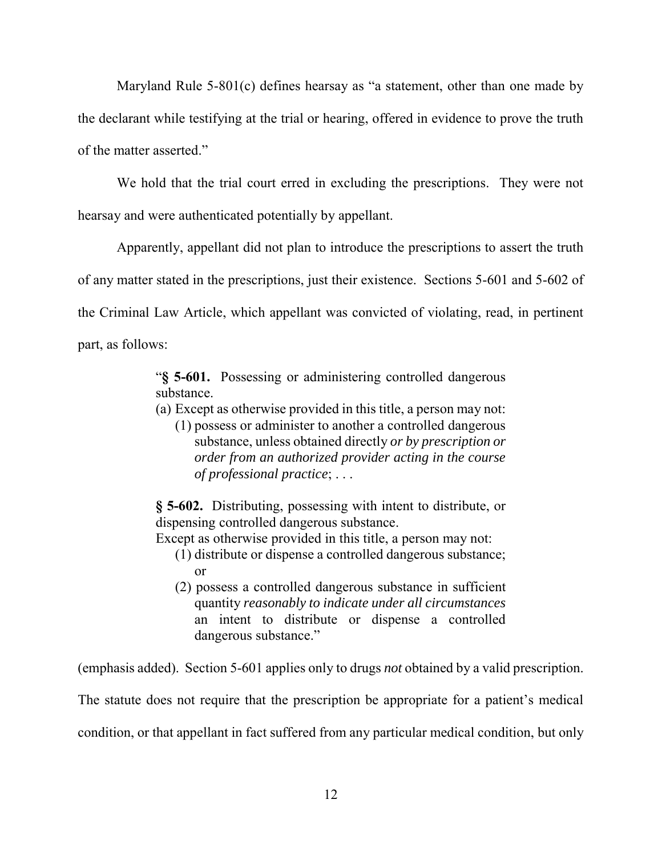Maryland Rule 5-801(c) defines hearsay as "a statement, other than one made by the declarant while testifying at the trial or hearing, offered in evidence to prove the truth of the matter asserted."

We hold that the trial court erred in excluding the prescriptions. They were not hearsay and were authenticated potentially by appellant.

Apparently, appellant did not plan to introduce the prescriptions to assert the truth of any matter stated in the prescriptions, just their existence. Sections 5-601 and 5-602 of the Criminal Law Article, which appellant was convicted of violating, read, in pertinent part, as follows:

> "**§ 5-601.** Possessing or administering controlled dangerous substance.

- (a) Except as otherwise provided in this title, a person may not:
	- (1) possess or administer to another a controlled dangerous substance, unless obtained directly *or by prescription or order from an authorized provider acting in the course of professional practice*; . . .

**§ 5-602.** Distributing, possessing with intent to distribute, or dispensing controlled dangerous substance.

Except as otherwise provided in this title, a person may not:

- (1) distribute or dispense a controlled dangerous substance; or
- (2) possess a controlled dangerous substance in sufficient quantity *reasonably to indicate under all circumstances* an intent to distribute or dispense a controlled dangerous substance."

(emphasis added). Section 5-601 applies only to drugs *not* obtained by a valid prescription.

The statute does not require that the prescription be appropriate for a patient's medical

condition, or that appellant in fact suffered from any particular medical condition, but only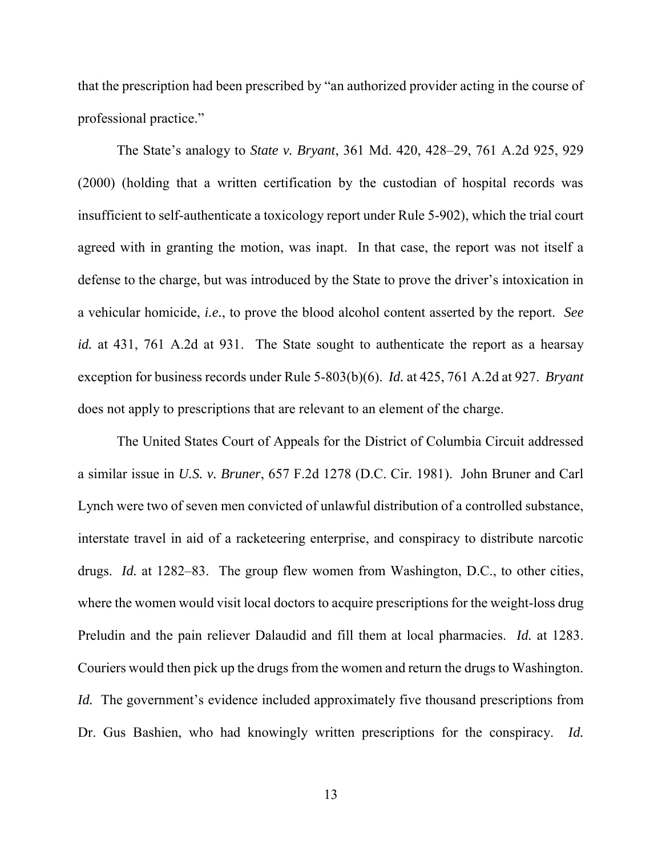that the prescription had been prescribed by "an authorized provider acting in the course of professional practice."

The State's analogy to *State v. Bryant*, 361 Md. 420, 428–29, 761 A.2d 925, 929 (2000) (holding that a written certification by the custodian of hospital records was insufficient to self-authenticate a toxicology report under Rule 5-902), which the trial court agreed with in granting the motion, was inapt. In that case, the report was not itself a defense to the charge, but was introduced by the State to prove the driver's intoxication in a vehicular homicide, *i.e.*, to prove the blood alcohol content asserted by the report. *See id.* at 431, 761 A.2d at 931. The State sought to authenticate the report as a hearsay exception for business records under Rule 5-803(b)(6). *Id.* at 425, 761 A.2d at 927. *Bryant* does not apply to prescriptions that are relevant to an element of the charge.

 The United States Court of Appeals for the District of Columbia Circuit addressed a similar issue in *U.S. v. Bruner*, 657 F.2d 1278 (D.C. Cir. 1981). John Bruner and Carl Lynch were two of seven men convicted of unlawful distribution of a controlled substance, interstate travel in aid of a racketeering enterprise, and conspiracy to distribute narcotic drugs. *Id.* at 1282–83. The group flew women from Washington, D.C., to other cities, where the women would visit local doctors to acquire prescriptions for the weight-loss drug Preludin and the pain reliever Dalaudid and fill them at local pharmacies. *Id.* at 1283. Couriers would then pick up the drugs from the women and return the drugs to Washington. *Id.* The government's evidence included approximately five thousand prescriptions from Dr. Gus Bashien, who had knowingly written prescriptions for the conspiracy. *Id.*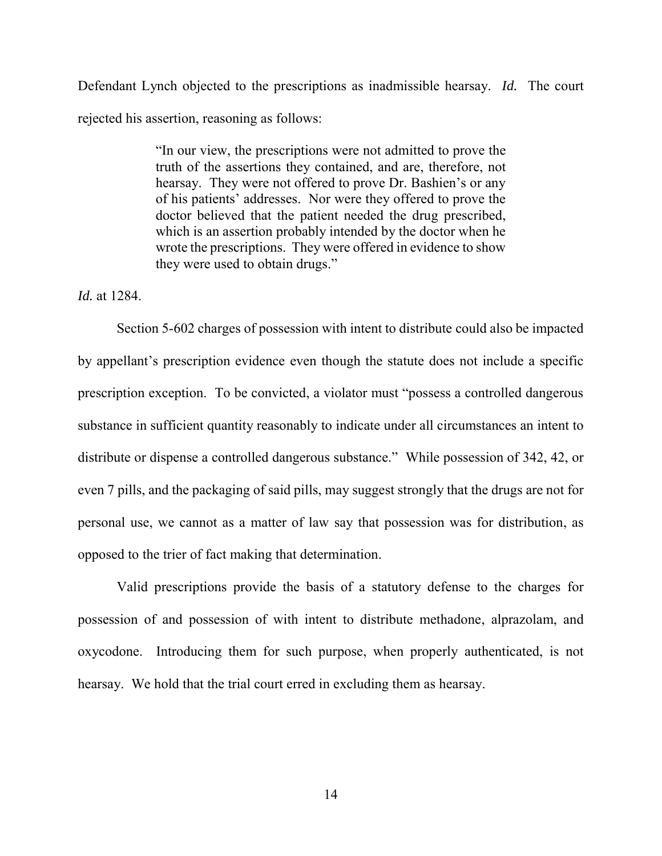Defendant Lynch objected to the prescriptions as inadmissible hearsay. *Id.* The court rejected his assertion, reasoning as follows:

> "In our view, the prescriptions were not admitted to prove the truth of the assertions they contained, and are, therefore, not hearsay. They were not offered to prove Dr. Bashien's or any of his patients' addresses. Nor were they offered to prove the doctor believed that the patient needed the drug prescribed, which is an assertion probably intended by the doctor when he wrote the prescriptions. They were offered in evidence to show they were used to obtain drugs."

*Id.* at 1284.

Section 5-602 charges of possession with intent to distribute could also be impacted by appellant's prescription evidence even though the statute does not include a specific prescription exception. To be convicted, a violator must "possess a controlled dangerous substance in sufficient quantity reasonably to indicate under all circumstances an intent to distribute or dispense a controlled dangerous substance." While possession of 342, 42, or even 7 pills, and the packaging of said pills, may suggest strongly that the drugs are not for personal use, we cannot as a matter of law say that possession was for distribution, as opposed to the trier of fact making that determination.

Valid prescriptions provide the basis of a statutory defense to the charges for possession of and possession of with intent to distribute methadone, alprazolam, and oxycodone. Introducing them for such purpose, when properly authenticated, is not hearsay. We hold that the trial court erred in excluding them as hearsay.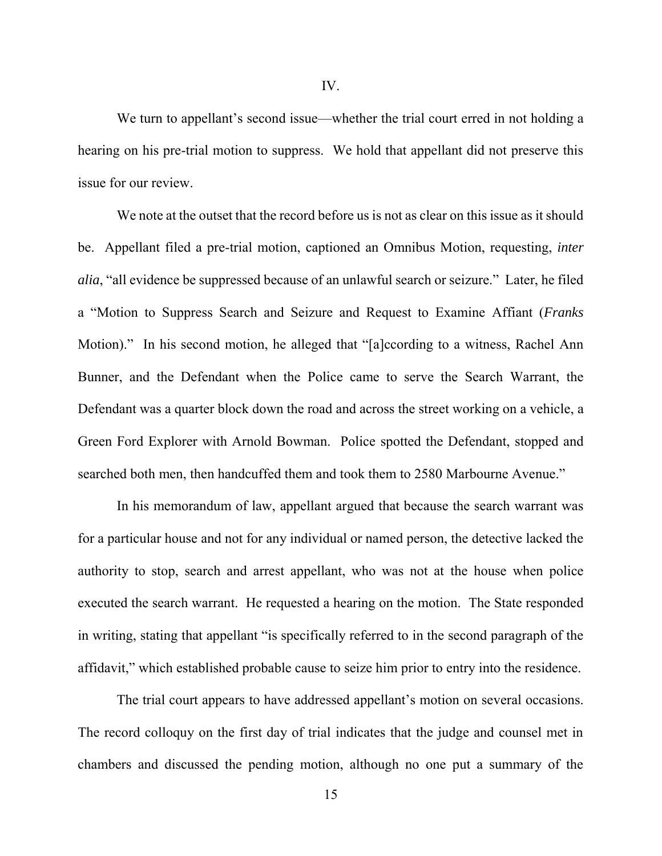We turn to appellant's second issue—whether the trial court erred in not holding a hearing on his pre-trial motion to suppress. We hold that appellant did not preserve this issue for our review.

We note at the outset that the record before us is not as clear on this issue as it should be. Appellant filed a pre-trial motion, captioned an Omnibus Motion, requesting, *inter alia*, "all evidence be suppressed because of an unlawful search or seizure." Later, he filed a "Motion to Suppress Search and Seizure and Request to Examine Affiant (*Franks* Motion)." In his second motion, he alleged that "[a]ccording to a witness, Rachel Ann Bunner, and the Defendant when the Police came to serve the Search Warrant, the Defendant was a quarter block down the road and across the street working on a vehicle, a Green Ford Explorer with Arnold Bowman. Police spotted the Defendant, stopped and searched both men, then handcuffed them and took them to 2580 Marbourne Avenue."

In his memorandum of law, appellant argued that because the search warrant was for a particular house and not for any individual or named person, the detective lacked the authority to stop, search and arrest appellant, who was not at the house when police executed the search warrant. He requested a hearing on the motion. The State responded in writing, stating that appellant "is specifically referred to in the second paragraph of the affidavit," which established probable cause to seize him prior to entry into the residence.

The trial court appears to have addressed appellant's motion on several occasions. The record colloquy on the first day of trial indicates that the judge and counsel met in chambers and discussed the pending motion, although no one put a summary of the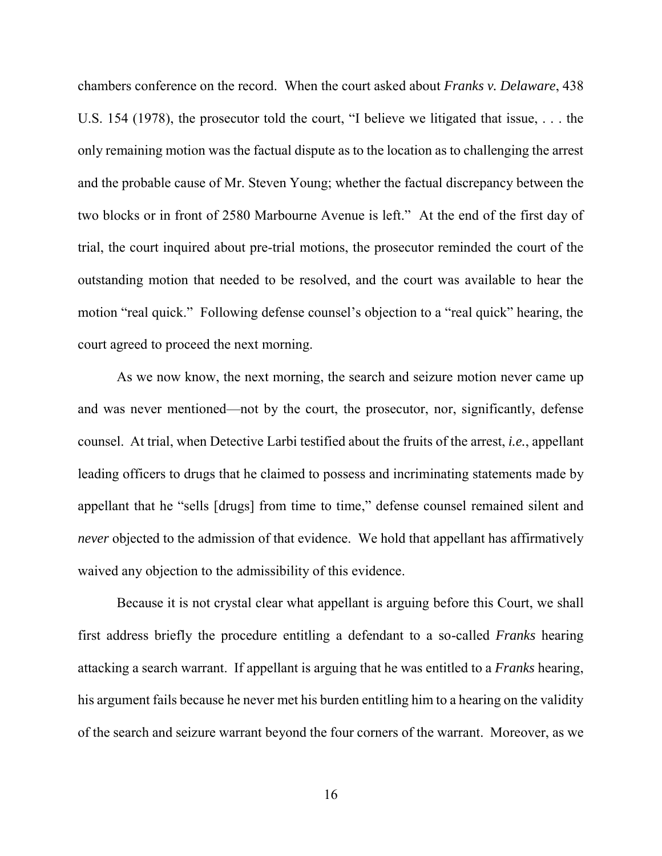chambers conference on the record. When the court asked about *Franks v. Delaware*, 438 U.S. 154 (1978), the prosecutor told the court, "I believe we litigated that issue, . . . the only remaining motion was the factual dispute as to the location as to challenging the arrest and the probable cause of Mr. Steven Young; whether the factual discrepancy between the two blocks or in front of 2580 Marbourne Avenue is left." At the end of the first day of trial, the court inquired about pre-trial motions, the prosecutor reminded the court of the outstanding motion that needed to be resolved, and the court was available to hear the motion "real quick." Following defense counsel's objection to a "real quick" hearing, the court agreed to proceed the next morning.

As we now know, the next morning, the search and seizure motion never came up and was never mentioned—not by the court, the prosecutor, nor, significantly, defense counsel. At trial, when Detective Larbi testified about the fruits of the arrest, *i.e.*, appellant leading officers to drugs that he claimed to possess and incriminating statements made by appellant that he "sells [drugs] from time to time," defense counsel remained silent and *never* objected to the admission of that evidence. We hold that appellant has affirmatively waived any objection to the admissibility of this evidence.

Because it is not crystal clear what appellant is arguing before this Court, we shall first address briefly the procedure entitling a defendant to a so-called *Franks* hearing attacking a search warrant. If appellant is arguing that he was entitled to a *Franks* hearing, his argument fails because he never met his burden entitling him to a hearing on the validity of the search and seizure warrant beyond the four corners of the warrant. Moreover, as we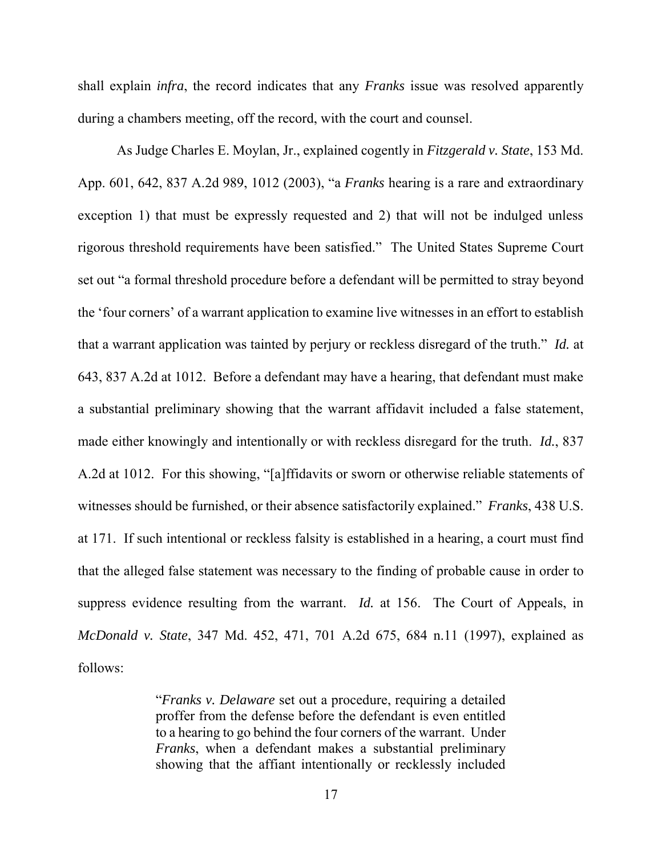shall explain *infra*, the record indicates that any *Franks* issue was resolved apparently during a chambers meeting, off the record, with the court and counsel.

As Judge Charles E. Moylan, Jr., explained cogently in *Fitzgerald v. State*, 153 Md. App. 601, 642, 837 A.2d 989, 1012 (2003), "a *Franks* hearing is a rare and extraordinary exception 1) that must be expressly requested and 2) that will not be indulged unless rigorous threshold requirements have been satisfied." The United States Supreme Court set out "a formal threshold procedure before a defendant will be permitted to stray beyond the 'four corners' of a warrant application to examine live witnesses in an effort to establish that a warrant application was tainted by perjury or reckless disregard of the truth." *Id.* at 643, 837 A.2d at 1012. Before a defendant may have a hearing, that defendant must make a substantial preliminary showing that the warrant affidavit included a false statement, made either knowingly and intentionally or with reckless disregard for the truth. *Id.*, 837 A.2d at 1012. For this showing, "[a]ffidavits or sworn or otherwise reliable statements of witnesses should be furnished, or their absence satisfactorily explained." *Franks*, 438 U.S. at 171. If such intentional or reckless falsity is established in a hearing, a court must find that the alleged false statement was necessary to the finding of probable cause in order to suppress evidence resulting from the warrant. *Id.* at 156. The Court of Appeals, in *McDonald v. State*, 347 Md. 452, 471, 701 A.2d 675, 684 n.11 (1997), explained as follows:

> "*Franks v. Delaware* set out a procedure, requiring a detailed proffer from the defense before the defendant is even entitled to a hearing to go behind the four corners of the warrant. Under *Franks*, when a defendant makes a substantial preliminary showing that the affiant intentionally or recklessly included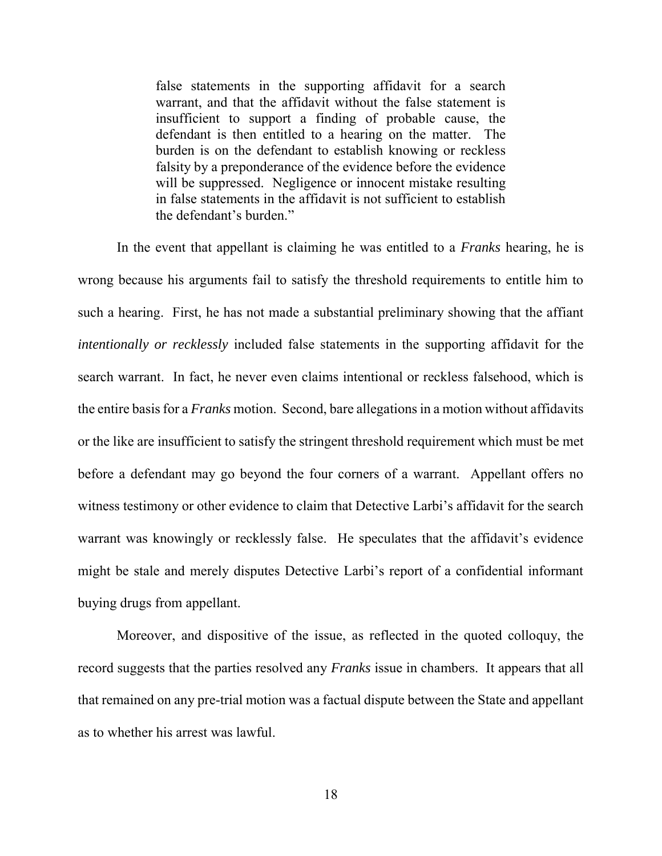false statements in the supporting affidavit for a search warrant, and that the affidavit without the false statement is insufficient to support a finding of probable cause, the defendant is then entitled to a hearing on the matter. The burden is on the defendant to establish knowing or reckless falsity by a preponderance of the evidence before the evidence will be suppressed. Negligence or innocent mistake resulting in false statements in the affidavit is not sufficient to establish the defendant's burden."

 In the event that appellant is claiming he was entitled to a *Franks* hearing, he is wrong because his arguments fail to satisfy the threshold requirements to entitle him to such a hearing. First, he has not made a substantial preliminary showing that the affiant *intentionally or recklessly* included false statements in the supporting affidavit for the search warrant. In fact, he never even claims intentional or reckless falsehood, which is the entire basis for a *Franks* motion. Second, bare allegations in a motion without affidavits or the like are insufficient to satisfy the stringent threshold requirement which must be met before a defendant may go beyond the four corners of a warrant. Appellant offers no witness testimony or other evidence to claim that Detective Larbi's affidavit for the search warrant was knowingly or recklessly false. He speculates that the affidavit's evidence might be stale and merely disputes Detective Larbi's report of a confidential informant buying drugs from appellant.

Moreover, and dispositive of the issue, as reflected in the quoted colloquy, the record suggests that the parties resolved any *Franks* issue in chambers. It appears that all that remained on any pre-trial motion was a factual dispute between the State and appellant as to whether his arrest was lawful.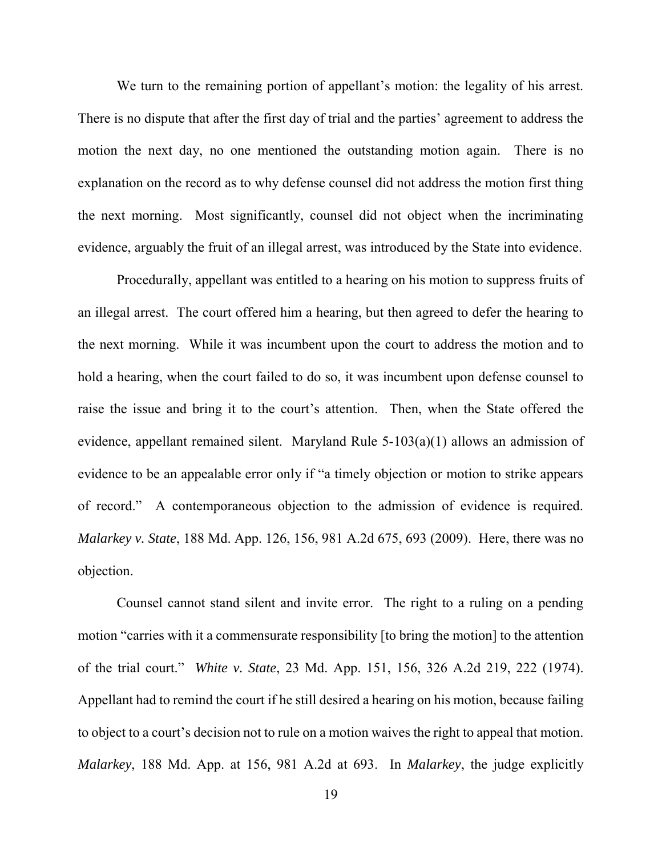We turn to the remaining portion of appellant's motion: the legality of his arrest. There is no dispute that after the first day of trial and the parties' agreement to address the motion the next day, no one mentioned the outstanding motion again. There is no explanation on the record as to why defense counsel did not address the motion first thing the next morning. Most significantly, counsel did not object when the incriminating evidence, arguably the fruit of an illegal arrest, was introduced by the State into evidence.

 Procedurally, appellant was entitled to a hearing on his motion to suppress fruits of an illegal arrest. The court offered him a hearing, but then agreed to defer the hearing to the next morning. While it was incumbent upon the court to address the motion and to hold a hearing, when the court failed to do so, it was incumbent upon defense counsel to raise the issue and bring it to the court's attention. Then, when the State offered the evidence, appellant remained silent. Maryland Rule 5-103(a)(1) allows an admission of evidence to be an appealable error only if "a timely objection or motion to strike appears of record." A contemporaneous objection to the admission of evidence is required. *Malarkey v. State*, 188 Md. App. 126, 156, 981 A.2d 675, 693 (2009). Here, there was no objection.

Counsel cannot stand silent and invite error. The right to a ruling on a pending motion "carries with it a commensurate responsibility [to bring the motion] to the attention of the trial court." *White v. State*, 23 Md. App. 151, 156, 326 A.2d 219, 222 (1974). Appellant had to remind the court if he still desired a hearing on his motion, because failing to object to a court's decision not to rule on a motion waives the right to appeal that motion. *Malarkey*, 188 Md. App. at 156, 981 A.2d at 693. In *Malarkey*, the judge explicitly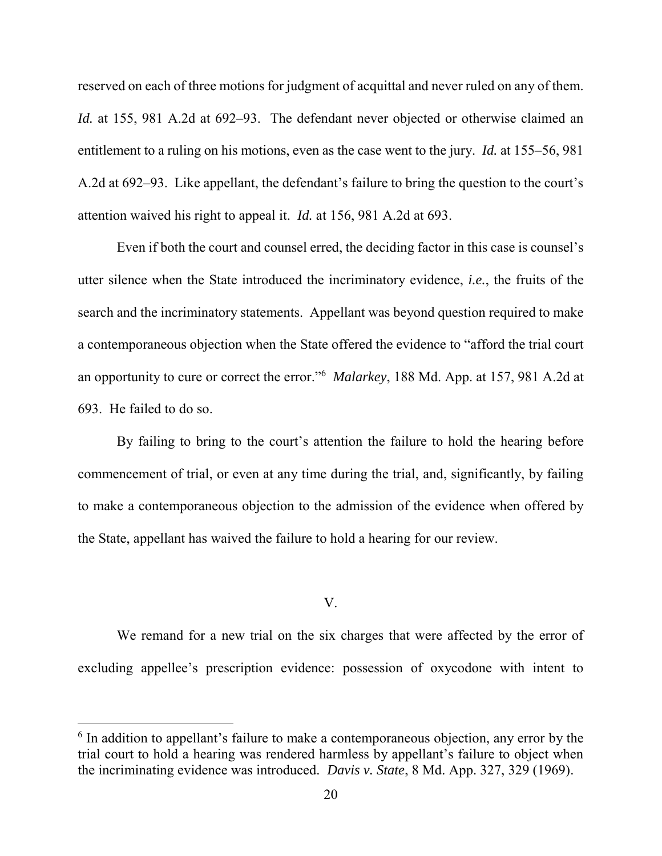reserved on each of three motions for judgment of acquittal and never ruled on any of them. *Id.* at 155, 981 A.2d at 692–93. The defendant never objected or otherwise claimed an entitlement to a ruling on his motions, even as the case went to the jury. *Id.* at 155–56, 981 A.2d at 692–93. Like appellant, the defendant's failure to bring the question to the court's attention waived his right to appeal it. *Id.* at 156, 981 A.2d at 693.

Even if both the court and counsel erred, the deciding factor in this case is counsel's utter silence when the State introduced the incriminatory evidence, *i.e.*, the fruits of the search and the incriminatory statements. Appellant was beyond question required to make a contemporaneous objection when the State offered the evidence to "afford the trial court an opportunity to cure or correct the error." 6 *Malarkey*, 188 Md. App. at 157, 981 A.2d at 693. He failed to do so.

 By failing to bring to the court's attention the failure to hold the hearing before commencement of trial, or even at any time during the trial, and, significantly, by failing to make a contemporaneous objection to the admission of the evidence when offered by the State, appellant has waived the failure to hold a hearing for our review.

### V.

We remand for a new trial on the six charges that were affected by the error of excluding appellee's prescription evidence: possession of oxycodone with intent to

 $\overline{\phantom{a}}$ 

<sup>&</sup>lt;sup>6</sup> In addition to appellant's failure to make a contemporaneous objection, any error by the trial court to hold a hearing was rendered harmless by appellant's failure to object when the incriminating evidence was introduced. *Davis v. State*, 8 Md. App. 327, 329 (1969).